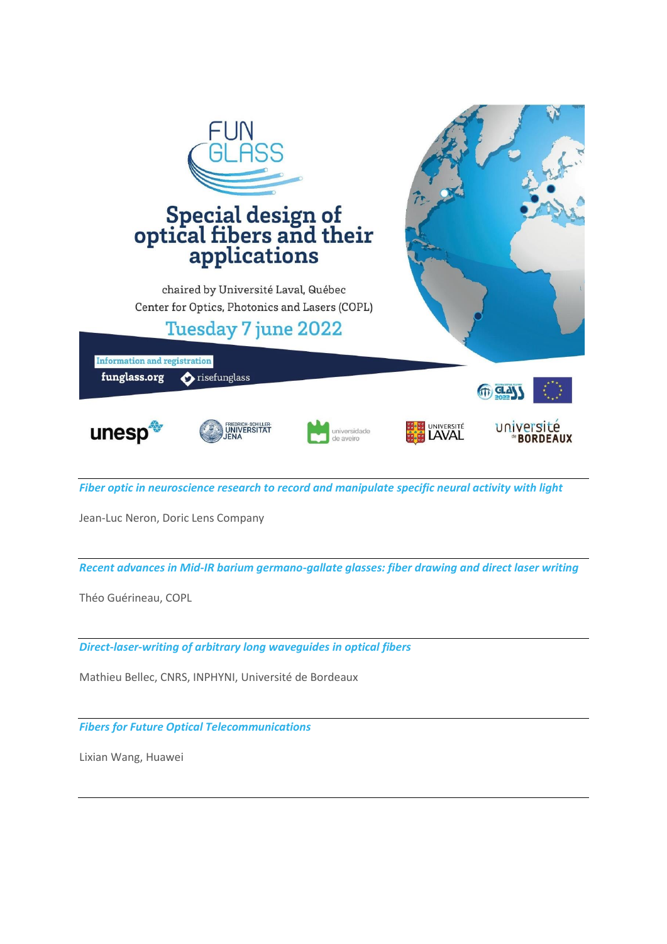

*Fiber optic in neuroscience research to record and manipulate specific neural activity with light* 

Jean-Luc Neron, Doric Lens Company

*Recent advances in Mid-IR barium germano-gallate glasses: fiber drawing and direct laser writing* 

Théo Guérineau, COPL

*Direct-laser-writing of arbitrary long waveguides in optical fibers* 

Mathieu Bellec, CNRS, INPHYNI, Université de Bordeaux

*Fibers for Future Optical Telecommunications* 

Lixian Wang, Huawei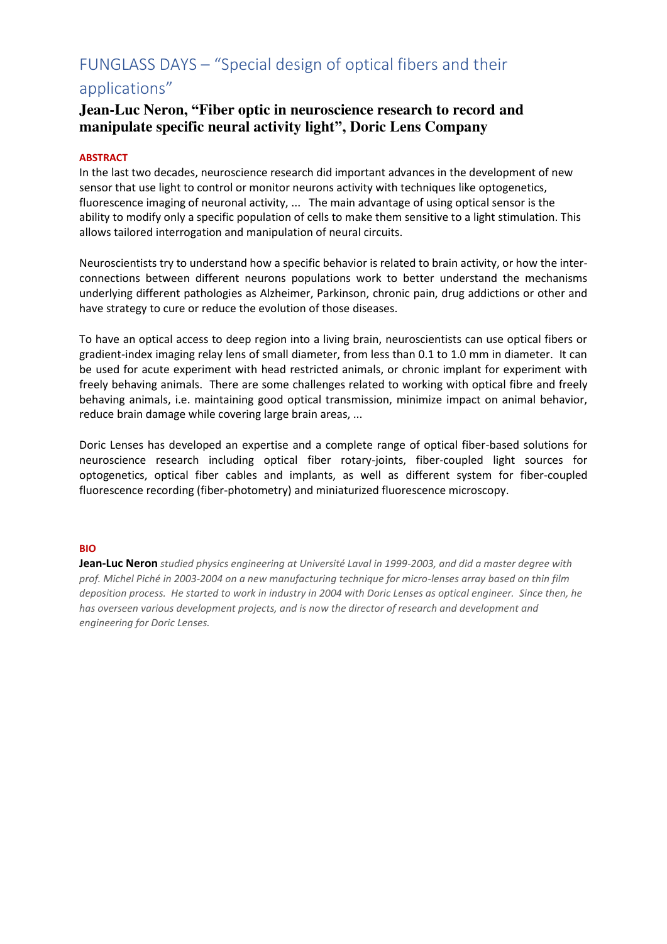# applications"

### **Jean-Luc Neron, "Fiber optic in neuroscience research to record and manipulate specific neural activity light", Doric Lens Company**

### **ABSTRACT**

In the last two decades, neuroscience research did important advances in the development of new sensor that use light to control or monitor neurons activity with techniques like optogenetics, fluorescence imaging of neuronal activity, ... The main advantage of using optical sensor is the ability to modify only a specific population of cells to make them sensitive to a light stimulation. This allows tailored interrogation and manipulation of neural circuits.

Neuroscientists try to understand how a specific behavior is related to brain activity, or how the interconnections between different neurons populations work to better understand the mechanisms underlying different pathologies as Alzheimer, Parkinson, chronic pain, drug addictions or other and have strategy to cure or reduce the evolution of those diseases.

To have an optical access to deep region into a living brain, neuroscientists can use optical fibers or gradient-index imaging relay lens of small diameter, from less than 0.1 to 1.0 mm in diameter. It can be used for acute experiment with head restricted animals, or chronic implant for experiment with freely behaving animals. There are some challenges related to working with optical fibre and freely behaving animals, i.e. maintaining good optical transmission, minimize impact on animal behavior, reduce brain damage while covering large brain areas, ...

Doric Lenses has developed an expertise and a complete range of optical fiber-based solutions for neuroscience research including optical fiber rotary-joints, fiber-coupled light sources for optogenetics, optical fiber cables and implants, as well as different system for fiber-coupled fluorescence recording (fiber-photometry) and miniaturized fluorescence microscopy.

#### **BIO**

**Jean-Luc Neron** *studied physics engineering at Université Laval in 1999-2003, and did a master degree with prof. Michel Piché in 2003-2004 on a new manufacturing technique for micro-lenses array based on thin film deposition process. He started to work in industry in 2004 with Doric Lenses as optical engineer. Since then, he has overseen various development projects, and is now the director of research and development and engineering for Doric Lenses.*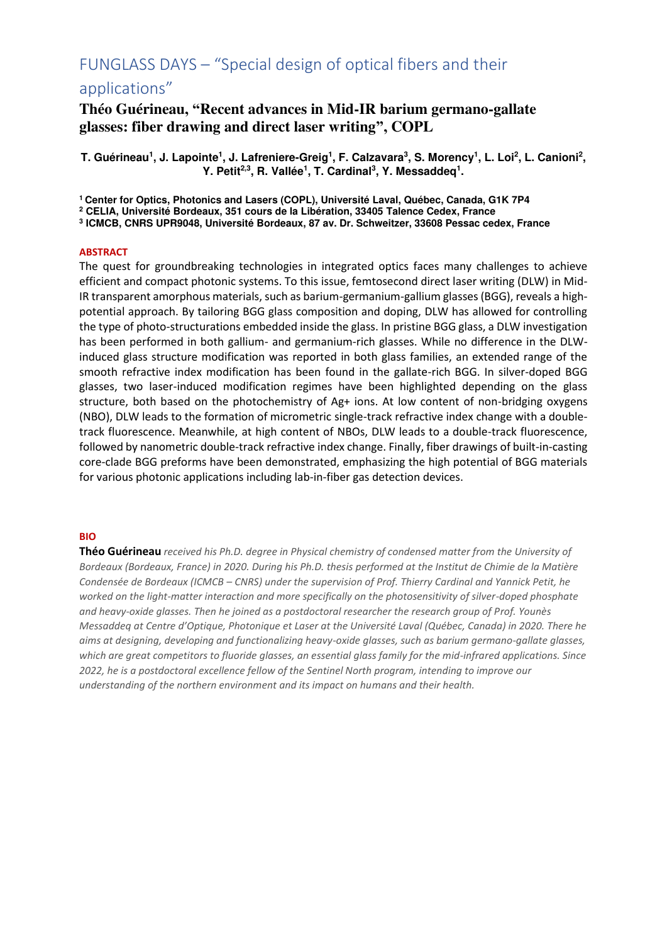### applications"

### **Théo Guérineau, "Recent advances in Mid-IR barium germano-gallate glasses: fiber drawing and direct laser writing", COPL**

**T. Guérineau<sup>1</sup> , J. Lapointe<sup>1</sup> , J. Lafreniere-Greig<sup>1</sup> , F. Calzavara<sup>3</sup> , S. Morency<sup>1</sup> , L. Loi<sup>2</sup> , L. Canioni<sup>2</sup> , Y.** Petit<sup>2,3</sup>, R. Vallée<sup>1</sup>, T. Cardinal<sup>3</sup>, Y. Messaddeq<sup>1</sup>.

**<sup>1</sup>Center for Optics, Photonics and Lasers (COPL), Université Laval, Québec, Canada, G1K 7P4** 

**2 CELIA, Université Bordeaux, 351 cours de la Libération, 33405 Talence Cedex, France** 

**3 ICMCB, CNRS UPR9048, Université Bordeaux, 87 av. Dr. Schweitzer, 33608 Pessac cedex, France**

#### **ABSTRACT**

The quest for groundbreaking technologies in integrated optics faces many challenges to achieve efficient and compact photonic systems. To this issue, femtosecond direct laser writing (DLW) in Mid-IR transparent amorphous materials, such as barium-germanium-gallium glasses (BGG), reveals a highpotential approach. By tailoring BGG glass composition and doping, DLW has allowed for controlling the type of photo-structurations embedded inside the glass. In pristine BGG glass, a DLW investigation has been performed in both gallium- and germanium-rich glasses. While no difference in the DLWinduced glass structure modification was reported in both glass families, an extended range of the smooth refractive index modification has been found in the gallate-rich BGG. In silver-doped BGG glasses, two laser-induced modification regimes have been highlighted depending on the glass structure, both based on the photochemistry of Ag+ ions. At low content of non-bridging oxygens (NBO), DLW leads to the formation of micrometric single-track refractive index change with a doubletrack fluorescence. Meanwhile, at high content of NBOs, DLW leads to a double-track fluorescence, followed by nanometric double-track refractive index change. Finally, fiber drawings of built-in-casting core-clade BGG preforms have been demonstrated, emphasizing the high potential of BGG materials for various photonic applications including lab-in-fiber gas detection devices.

#### **BIO**

**Théo Guérineau** *received his Ph.D. degree in Physical chemistry of condensed matter from the University of Bordeaux (Bordeaux, France) in 2020. During his Ph.D. thesis performed at the Institut de Chimie de la Matière Condensée de Bordeaux (ICMCB – CNRS) under the supervision of Prof. Thierry Cardinal and Yannick Petit, he worked on the light-matter interaction and more specifically on the photosensitivity of silver-doped phosphate and heavy-oxide glasses. Then he joined as a postdoctoral researcher the research group of Prof. Younès Messaddeq at Centre d'Optique, Photonique et Laser at the Université Laval (Québec, Canada) in 2020. There he aims at designing, developing and functionalizing heavy-oxide glasses, such as barium germano-gallate glasses, which are great competitors to fluoride glasses, an essential glass family for the mid-infrared applications. Since 2022, he is a postdoctoral excellence fellow of the Sentinel North program, intending to improve our understanding of the northern environment and its impact on humans and their health.*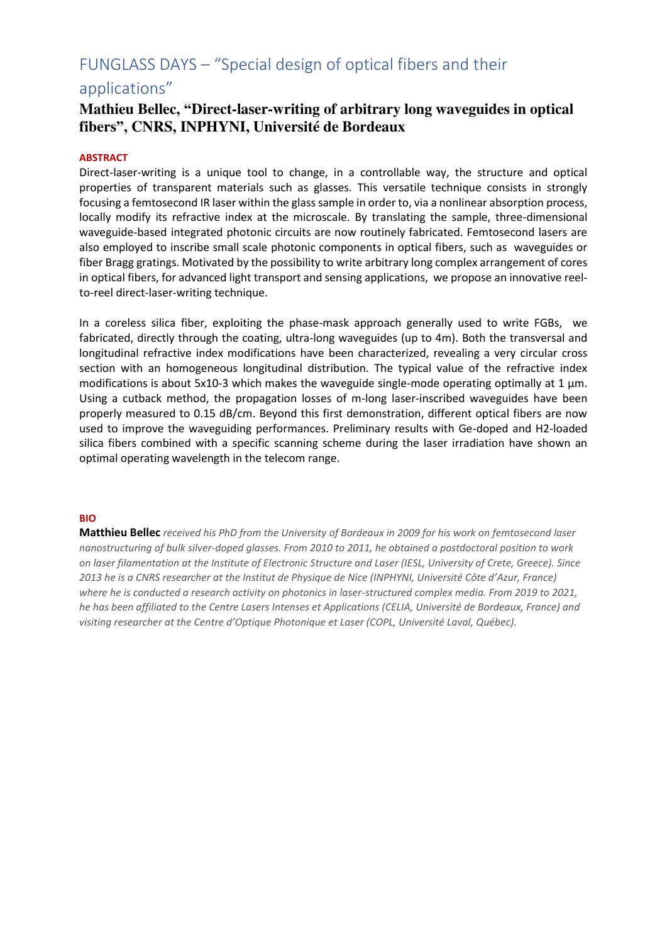### applications"

### **Mathieu Bellec, "Direct-laser-writing of arbitrary long waveguides in optical fibers", CNRS, INPHYNI, Université de Bordeaux**

#### **ABSTRACT**

Direct-laser-writing is a unique tool to change, in a controllable way, the structure and optical properties of transparent materials such as glasses. This versatile technique consists in strongly focusing a femtosecond IR laser within the glass sample in order to, via a nonlinear absorption process, locally modify its refractive index at the microscale. By translating the sample, three-dimensional waveguide-based integrated photonic circuits are now routinely fabricated. Femtosecond lasers are also employed to inscribe small scale photonic components in optical fibers, such as waveguides or fiber Bragg gratings. Motivated by the possibility to write arbitrary long complex arrangement of cores in optical fibers, for advanced light transport and sensing applications, we propose an innovative reelto-reel direct-laser-writing technique.

In a coreless silica fiber, exploiting the phase-mask approach generally used to write FGBs, we fabricated, directly through the coating, ultra-long waveguides (up to 4m). Both the transversal and longitudinal refractive index modifications have been characterized, revealing a very circular cross section with an homogeneous longitudinal distribution. The typical value of the refractive index modifications is about 5x10-3 which makes the waveguide single-mode operating optimally at 1  $\mu$ m. Using a cutback method, the propagation losses of m-long laser-inscribed waveguides have been properly measured to 0.15 dB/cm. Beyond this first demonstration, different optical fibers are now used to improve the waveguiding performances. Preliminary results with Ge-doped and H2-loaded silica fibers combined with a specific scanning scheme during the laser irradiation have shown an optimal operating wavelength in the telecom range.

#### **BIO**

**Matthieu Bellec** *received his PhD from the University of Bordeaux in 2009 for his work on femtosecond laser nanostructuring of bulk silver-doped glasses. From 2010 to 2011, he obtained a postdoctoral position to work on laser filamentation at the Institute of Electronic Structure and Laser (IESL, University of Crete, Greece). Since 2013 he is a CNRS researcher at the Institut de Physique de Nice (INPHYNI, Université Côte d'Azur, France) where he is conducted a research activity on photonics in laser-structured complex media. From 2019 to 2021, he has been affiliated to the Centre Lasers Intenses et Applications (CELIA, Université de Bordeaux, France) and visiting researcher at the Centre d'Optique Photonique et Laser (COPL, Université Laval, Québec).*